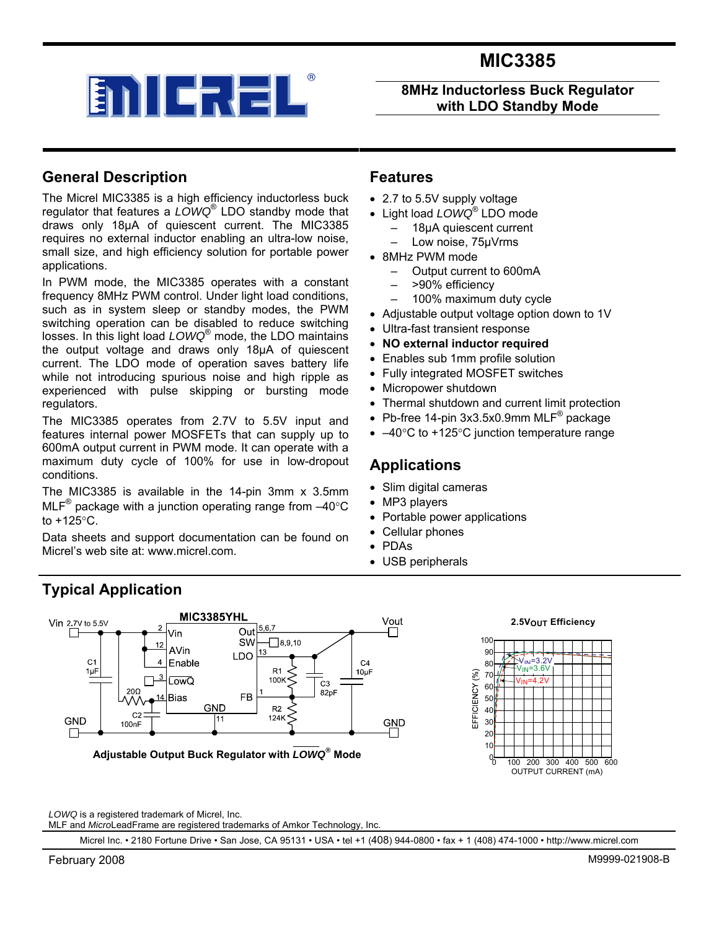

**8MHz Inductorless Buck Regulator with LDO Standby Mode** 

### **General Description**

The Micrel MIC3385 is a high efficiency inductorless buck regulator that features a *LOWQ*® LDO standby mode that draws only 18µA of quiescent current. The MIC3385 requires no external inductor enabling an ultra-low noise, small size, and high efficiency solution for portable power applications.

In PWM mode, the MIC3385 operates with a constant frequency 8MHz PWM control. Under light load conditions, such as in system sleep or standby modes, the PWM switching operation can be disabled to reduce switching losses. In this light load *LOWQ*® mode, the LDO maintains the output voltage and draws only 18µA of quiescent current. The LDO mode of operation saves battery life while not introducing spurious noise and high ripple as experienced with pulse skipping or bursting mode regulators.

The MIC3385 operates from 2.7V to 5.5V input and features internal power MOSFETs that can supply up to 600mA output current in PWM mode. It can operate with a maximum duty cycle of 100% for use in low-dropout conditions.

The MIC3385 is available in the 14-pin 3mm x 3.5mm MLF<sup>®</sup> package with a junction operating range from  $-40^{\circ}$ C to +125°C.

Data sheets and support documentation can be found on Micrel's web site at: www.micrel.com.

#### **Features**

- 2.7 to 5.5V supply voltage
- Light load *LOWQ*® LDO mode
	- 18µA quiescent current
	- Low noise, 75µVrms
- 8MHz PWM mode
	- Output current to 600mA
	- >90% efficiency
	- 100% maximum duty cycle
- Adjustable output voltage option down to 1V
- Ultra-fast transient response
- **NO external inductor required**
- Enables sub 1mm profile solution
- Fully integrated MOSFET switches
- Micropower shutdown
- Thermal shutdown and current limit protection
- Pb-free 14-pin 3x3.5x0.9mm MLF $^{\circ}$  package
- $-40^{\circ}$ C to +125°C junction temperature range

#### **Applications**

- Slim digital cameras
- MP3 players
- Portable power applications
- Cellular phones
- PDAs
- USB peripherals

## **Typical Application**





*LOWQ* is a registered trademark of Micrel, Inc.

MLF and *Micro*LeadFrame are registered trademarks of Amkor Technology, Inc.

Micrel Inc. • 2180 Fortune Drive • San Jose, CA 95131 • USA • tel +1 (408) 944-0800 • fax + 1 (408) 474-1000 • http://www.micrel.com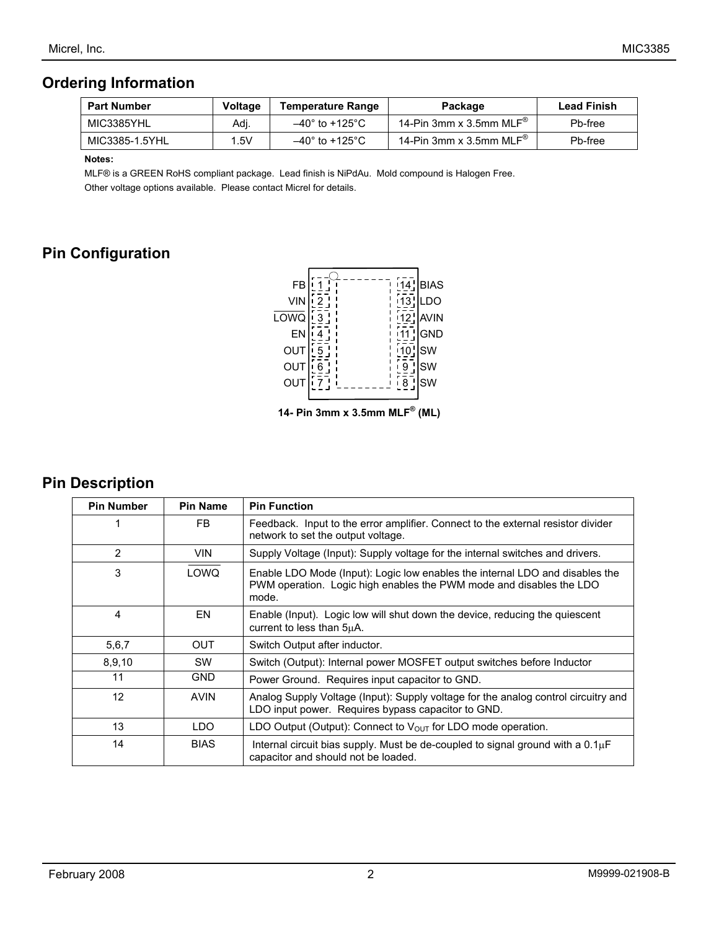## **Ordering Information**

| <b>Part Number</b> | <b>Voltage</b> | <b>Temperature Range</b>           | Package                                       | <b>Lead Finish</b> |
|--------------------|----------------|------------------------------------|-----------------------------------------------|--------------------|
| MIC3385YHL         | Adj.           | $-40^{\circ}$ to +125 $^{\circ}$ C | 14-Pin 3mm x 3.5mm MLF $^\circ$               | Pb-free            |
| MIC3385-1.5YHL     | 5V             | $-40^{\circ}$ to +125°C            | 14-Pin 3mm x 3.5mm $\mathsf{MLF}^\circledast$ | Pb-free            |

 **Notes:** 

MLF® is a GREEN RoHS compliant package. Lead finish is NiPdAu. Mold compound is Halogen Free. Other voltage options available. Please contact Micrel for details.

## **Pin Configuration**



## **Pin Description**

| <b>Pin Number</b> | <b>Pin Name</b> | <b>Pin Function</b>                                                                                                                                          |
|-------------------|-----------------|--------------------------------------------------------------------------------------------------------------------------------------------------------------|
|                   | FB.             | Feedback. Input to the error amplifier. Connect to the external resistor divider<br>network to set the output voltage.                                       |
| 2                 | <b>VIN</b>      | Supply Voltage (Input): Supply voltage for the internal switches and drivers.                                                                                |
| 3                 | LOWQ            | Enable LDO Mode (Input): Logic low enables the internal LDO and disables the<br>PWM operation. Logic high enables the PWM mode and disables the LDO<br>mode. |
| 4                 | EN              | Enable (Input). Logic low will shut down the device, reducing the quiescent<br>current to less than 5uA.                                                     |
| 5,6,7             | <b>OUT</b>      | Switch Output after inductor.                                                                                                                                |
| 8,9,10            | SW              | Switch (Output): Internal power MOSFET output switches before Inductor                                                                                       |
| 11                | <b>GND</b>      | Power Ground. Requires input capacitor to GND.                                                                                                               |
| 12                | <b>AVIN</b>     | Analog Supply Voltage (Input): Supply voltage for the analog control circuitry and<br>LDO input power. Requires bypass capacitor to GND.                     |
| 13                | LDO             | LDO Output (Output): Connect to $V_{OUT}$ for LDO mode operation.                                                                                            |
| 14                | <b>BIAS</b>     | Internal circuit bias supply. Must be de-coupled to signal ground with a $0.1\mu$ F<br>capacitor and should not be loaded.                                   |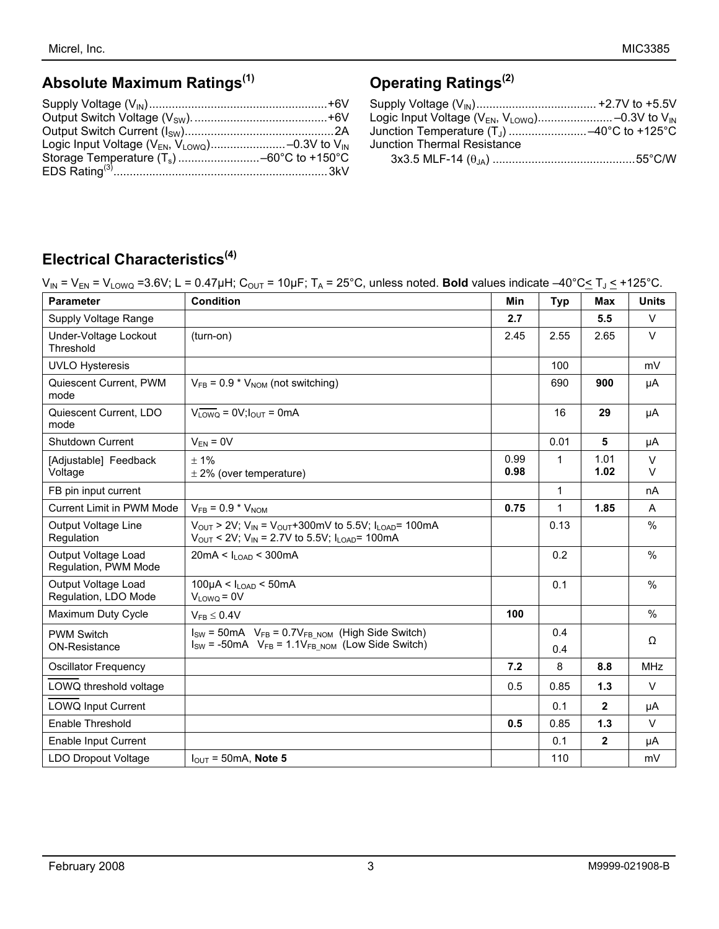# **Absolute Maximum Ratings(1)**

# **Operating Ratings(2)**

# **Electrical Characteristics(4)**

|  |  |  |  |  |  |  | $V_{IN}$ = $V_{EN}$ = $V_{LOWQ}$ =3.6V; L = 0.47µH; $C_{OUT}$ = 10µF; $T_A$ = 25°C, unless noted. <b>Bold</b> values indicate -40°C $\leq T_J \leq +125$ °C. |
|--|--|--|--|--|--|--|--------------------------------------------------------------------------------------------------------------------------------------------------------------|
|--|--|--|--|--|--|--|--------------------------------------------------------------------------------------------------------------------------------------------------------------|

| <b>Parameter</b>                            | <b>Condition</b>                                                                                                                                                                        | Min          | <b>Typ</b>   | <b>Max</b>     | <b>Units</b>     |
|---------------------------------------------|-----------------------------------------------------------------------------------------------------------------------------------------------------------------------------------------|--------------|--------------|----------------|------------------|
| Supply Voltage Range                        |                                                                                                                                                                                         | 2.7          |              | 5.5            | $\vee$           |
| Under-Voltage Lockout<br>Threshold          | (turn-on)                                                                                                                                                                               | 2.45         | 2.55         | 2.65           | $\vee$           |
| <b>UVLO Hysteresis</b>                      |                                                                                                                                                                                         |              | 100          |                | mV               |
| Quiescent Current, PWM<br>mode              | $V_{FB}$ = 0.9 * $V_{NOM}$ (not switching)                                                                                                                                              |              | 690          | 900            | μA               |
| Quiescent Current, LDO<br>mode              | $V_{LOWQ} = 0V$ ; $I_{OUT} = 0mA$                                                                                                                                                       |              | 16           | 29             | μA               |
| Shutdown Current                            | $V_{FN} = 0V$                                                                                                                                                                           |              | 0.01         | 5              | μA               |
| [Adjustable] Feedback<br>Voltage            | ±1%<br>$\pm$ 2% (over temperature)                                                                                                                                                      | 0.99<br>0.98 | 1            | 1.01<br>1.02   | $\vee$<br>$\vee$ |
| FB pin input current                        |                                                                                                                                                                                         |              | $\mathbf{1}$ |                | nA               |
| <b>Current Limit in PWM Mode</b>            | $V_{FB} = 0.9 * V_{NOM}$                                                                                                                                                                | 0.75         | $\mathbf{1}$ | 1.85           | A                |
| Output Voltage Line<br>Regulation           | $V_{\text{OUT}}$ > 2V; $V_{\text{IN}}$ = $V_{\text{OUT}}$ +300mV to 5.5V; $I_{\text{LOAD}}$ = 100mA<br>$V_{\text{OUT}}$ < 2V; V <sub>IN</sub> = 2.7V to 5.5V; I <sub>LOAD</sub> = 100mA |              | 0.13         |                | %                |
| Output Voltage Load<br>Regulation, PWM Mode | $20mA < I_{LQAD} < 300mA$                                                                                                                                                               |              | 0.2          |                | $\frac{0}{0}$    |
| Output Voltage Load<br>Regulation, LDO Mode | $100\mu$ A < $I_{LOAD}$ < 50mA<br>$V_{LOWQ} = 0V$                                                                                                                                       |              | 0.1          |                | $\frac{0}{0}$    |
| Maximum Duty Cycle                          | $V_{FB} \leq 0.4V$                                                                                                                                                                      | 100          |              |                | $\%$             |
| <b>PWM Switch</b>                           | $I_{SW}$ = 50mA $V_{FB}$ = 0.7V <sub>FB NOM</sub> (High Side Switch)                                                                                                                    |              | 0.4          |                | Ω                |
| <b>ON-Resistance</b>                        | $I_{SW}$ = -50mA $V_{FB}$ = 1.1 $V_{FB}$ NOM (Low Side Switch)                                                                                                                          |              | 0.4          |                |                  |
| <b>Oscillator Frequency</b>                 |                                                                                                                                                                                         | 7.2          | 8            | 8.8            | <b>MHz</b>       |
| LOWQ threshold voltage                      |                                                                                                                                                                                         | 0.5          | 0.85         | 1.3            | $\vee$           |
| <b>LOWQ Input Current</b>                   |                                                                                                                                                                                         |              | 0.1          | $\mathbf{2}$   | μA               |
| Enable Threshold                            |                                                                                                                                                                                         | 0.5          | 0.85         | $1.3$          | $\vee$           |
| Enable Input Current                        |                                                                                                                                                                                         |              | 0.1          | $\overline{2}$ | μA               |
| <b>LDO Dropout Voltage</b>                  | $I_{\text{OUT}}$ = 50mA, Note 5                                                                                                                                                         |              | 110          |                | mV               |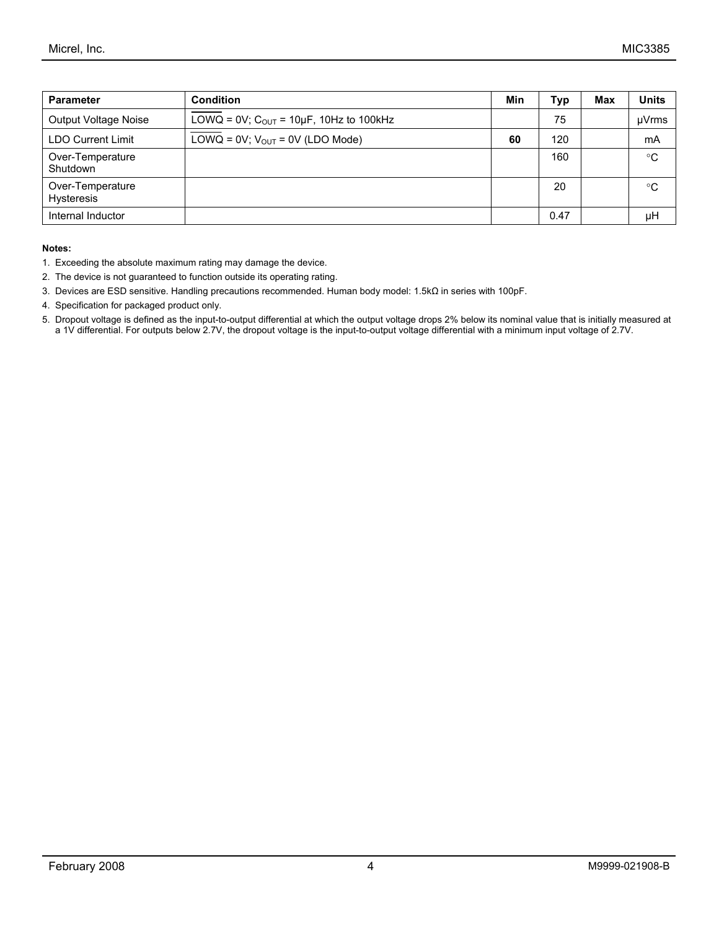| <b>Parameter</b>                      | <b>Condition</b>                                           | Min | Typ  | Max | <b>Units</b> |
|---------------------------------------|------------------------------------------------------------|-----|------|-----|--------------|
| Output Voltage Noise                  | LOWQ = $0V$ ; C <sub>OUT</sub> = $10\mu$ F, 10Hz to 100kHz |     | 75   |     | µVrms        |
| <b>LDO Current Limit</b>              | LOWQ = $0V$ ; $V_{OUT}$ = 0V (LDO Mode)                    | 60  | 120  |     | mA           |
| Over-Temperature<br>Shutdown          |                                                            |     | 160  |     | $^{\circ}C$  |
| Over-Temperature<br><b>Hysteresis</b> |                                                            |     | 20   |     | $^{\circ}C$  |
| Internal Inductor                     |                                                            |     | 0.47 |     | μH           |

#### **Notes:**

- 1. Exceeding the absolute maximum rating may damage the device.
- 2. The device is not guaranteed to function outside its operating rating.
- 3. Devices are ESD sensitive. Handling precautions recommended. Human body model: 1.5kΩ in series with 100pF.
- 4. Specification for packaged product only.
- 5. Dropout voltage is defined as the input-to-output differential at which the output voltage drops 2% below its nominal value that is initially measured at a 1V differential. For outputs below 2.7V, the dropout voltage is the input-to-output voltage differential with a minimum input voltage of 2.7V.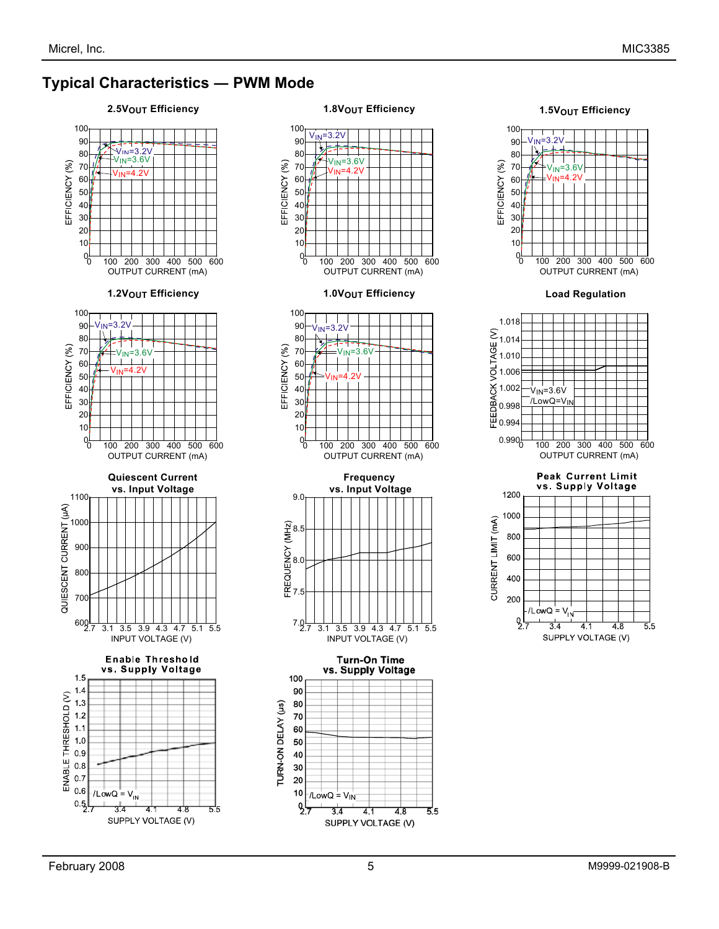$6'$ 

### **Typical Characteristics ― PWM Mode**



4.1

4.8

55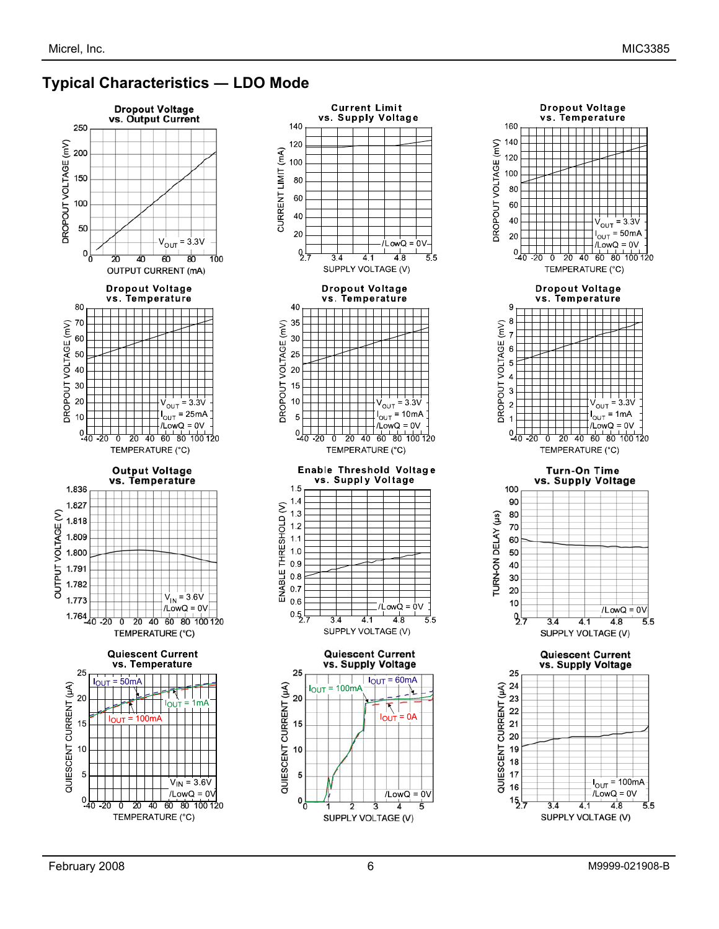## **Typical Characteristics ― LDO Mode**





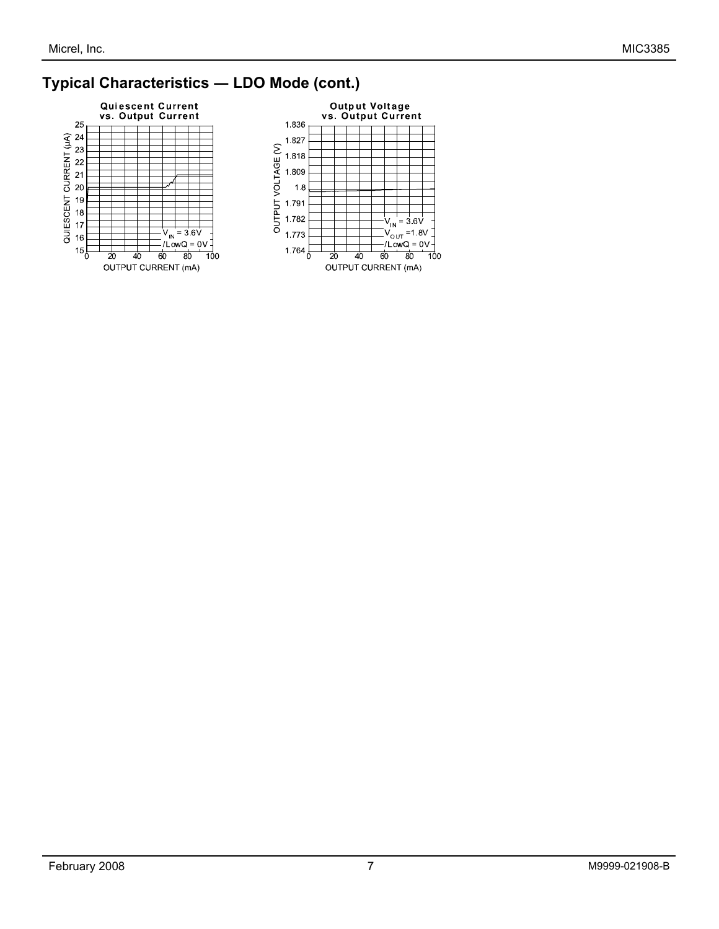## **Typical Characteristics ― LDO Mode (cont.)**



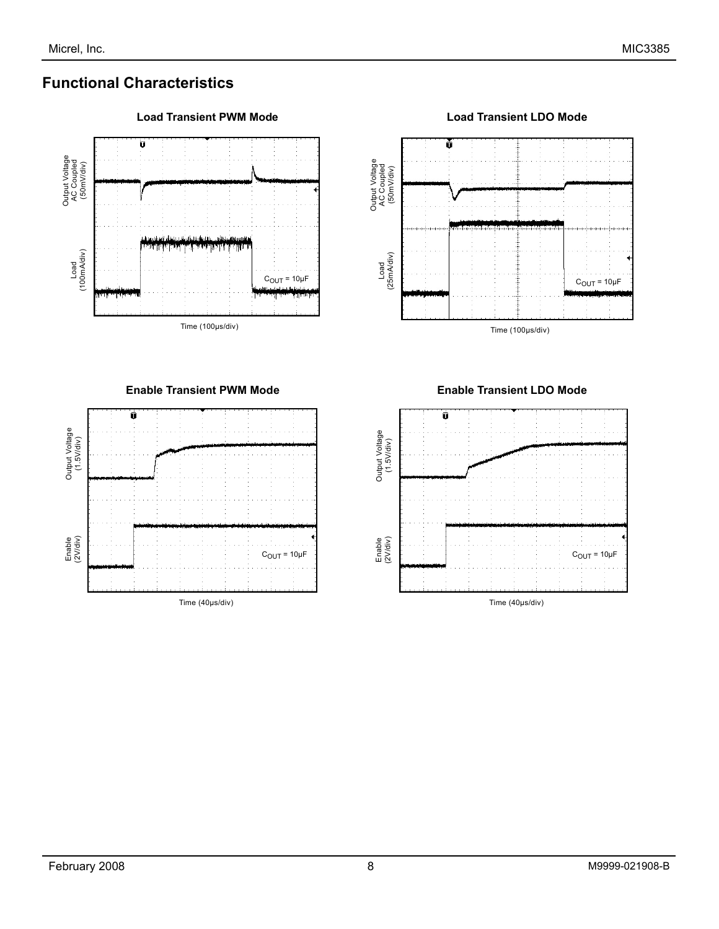## **Functional Characteristics**





Time (100µs/div)

**Enable Transient PWM Mode**



**Enable Transient LDO Mode**

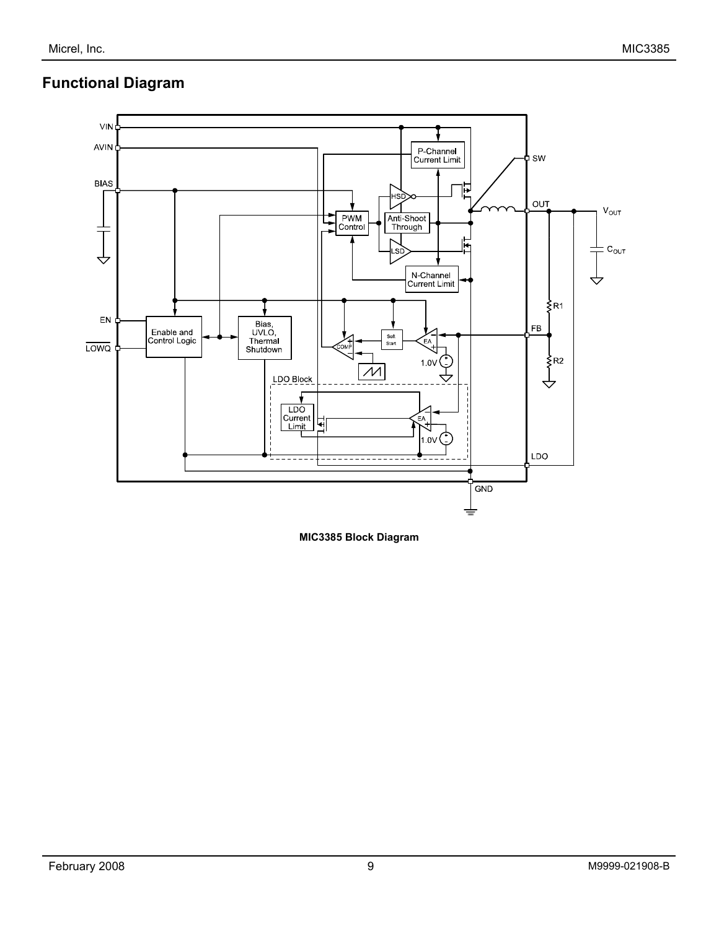## **Functional Diagram**



**MIC3385 Block Diagram**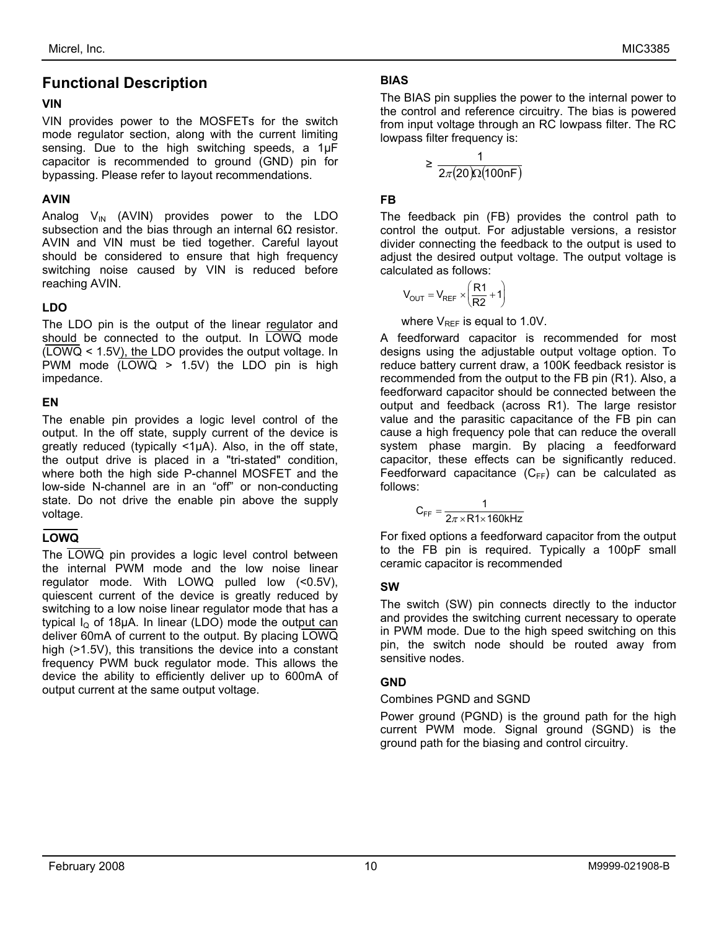## **Functional Description**

#### **VIN**

VIN provides power to the MOSFETs for the switch mode regulator section, along with the current limiting sensing. Due to the high switching speeds, a 1µF capacitor is recommended to ground (GND) pin for bypassing. Please refer to layout recommendations.

#### **AVIN**

Analog  $V_{IN}$  (AVIN) provides power to the LDO subsection and the bias through an internal 6Ω resistor. AVIN and VIN must be tied together. Careful layout should be considered to ensure that high frequency switching noise caused by VIN is reduced before reaching AVIN.

#### **LDO**

The LDO pin is the output of the linear regulator and should be connected to the output. In LOWQ mode (LOWQ < 1.5V), the LDO provides the output voltage. In PWM mode (LOWQ > 1.5V) the LDO pin is high impedance.

#### **EN**

The enable pin provides a logic level control of the output. In the off state, supply current of the device is greatly reduced (typically <1µA). Also, in the off state, the output drive is placed in a "tri-stated" condition, where both the high side P-channel MOSFET and the low-side N-channel are in an "off" or non-conducting state. Do not drive the enable pin above the supply voltage.

#### **LOWQ**

The LOWQ pin provides a logic level control between the internal PWM mode and the low noise linear regulator mode. With LOWQ pulled low (<0.5V), quiescent current of the device is greatly reduced by switching to a low noise linear regulator mode that has a typical  $I<sub>o</sub>$  of 18µA. In linear (LDO) mode the output can deliver 60mA of current to the output. By placing LOWQ high ( $>1.5V$ ), this transitions the device into a constant frequency PWM buck regulator mode. This allows the device the ability to efficiently deliver up to 600mA of output current at the same output voltage.

#### **BIAS**

The BIAS pin supplies the power to the internal power to the control and reference circuitry. The bias is powered from input voltage through an RC lowpass filter. The RC lowpass filter frequency is:

$$
\geq \frac{1}{2\pi(20)\Omega(100nF)}
$$

#### **FB**

The feedback pin (FB) provides the control path to control the output. For adjustable versions, a resistor divider connecting the feedback to the output is used to adjust the desired output voltage. The output voltage is calculated as follows:

$$
V_{OUT} = V_{REF} \times \left(\frac{R1}{R2} + 1\right)
$$

where  $V_{REF}$  is equal to 1.0V.

A feedforward capacitor is recommended for most designs using the adjustable output voltage option. To reduce battery current draw, a 100K feedback resistor is recommended from the output to the FB pin (R1). Also, a feedforward capacitor should be connected between the output and feedback (across R1). The large resistor value and the parasitic capacitance of the FB pin can cause a high frequency pole that can reduce the overall system phase margin. By placing a feedforward capacitor, these effects can be significantly reduced. Feedforward capacitance  $(C_{FF})$  can be calculated as follows:

$$
C_{FF} = \frac{1}{2\pi \times R1 \times 160kHz}
$$

For fixed options a feedforward capacitor from the output to the FB pin is required. Typically a 100pF small ceramic capacitor is recommended

#### **SW**

The switch (SW) pin connects directly to the inductor and provides the switching current necessary to operate in PWM mode. Due to the high speed switching on this pin, the switch node should be routed away from sensitive nodes.

#### **GND**

#### Combines PGND and SGND

Power ground (PGND) is the ground path for the high current PWM mode. Signal ground (SGND) is the ground path for the biasing and control circuitry.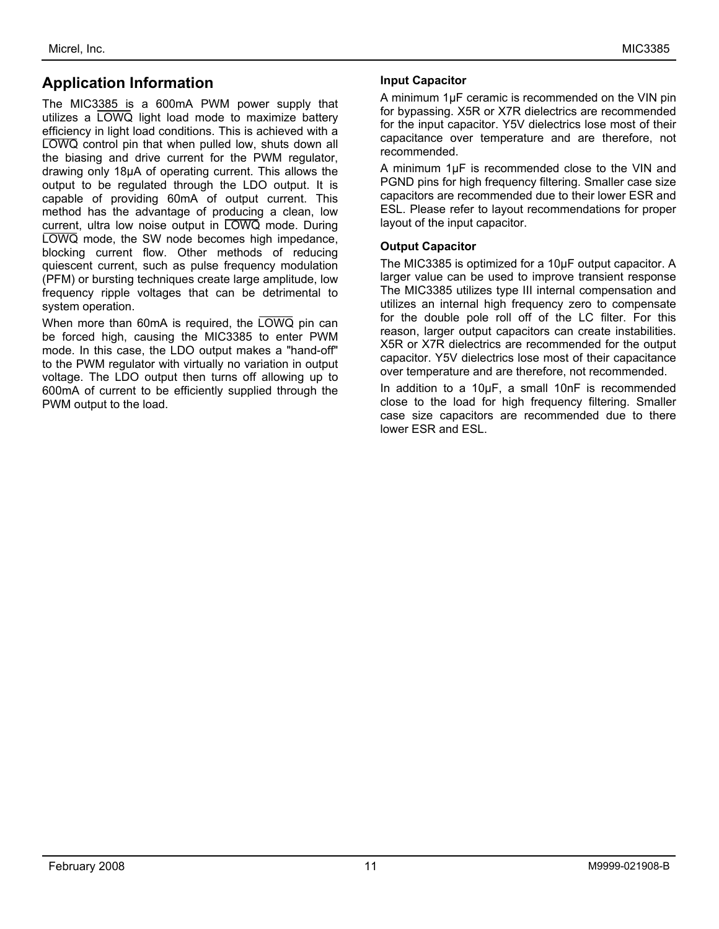## **Application Information**

The MIC3385 is a 600mA PWM power supply that utilizes a LOWQ light load mode to maximize battery efficiency in light load conditions. This is achieved with a LOWQ control pin that when pulled low, shuts down all the biasing and drive current for the PWM regulator, drawing only 18µA of operating current. This allows the output to be regulated through the LDO output. It is capable of providing 60mA of output current. This method has the advantage of producing a clean, low current, ultra low noise output in LOWQ mode. During LOWQ mode, the SW node becomes high impedance, blocking current flow. Other methods of reducing quiescent current, such as pulse frequency modulation (PFM) or bursting techniques create large amplitude, low frequency ripple voltages that can be detrimental to system operation.

When more than 60mA is required, the LOWQ pin can be forced high, causing the MIC3385 to enter PWM mode. In this case, the LDO output makes a "hand-off" to the PWM regulator with virtually no variation in output voltage. The LDO output then turns off allowing up to 600mA of current to be efficiently supplied through the PWM output to the load.

#### **Input Capacitor**

A minimum 1µF ceramic is recommended on the VIN pin for bypassing. X5R or X7R dielectrics are recommended for the input capacitor. Y5V dielectrics lose most of their capacitance over temperature and are therefore, not recommended.

A minimum 1µF is recommended close to the VIN and PGND pins for high frequency filtering. Smaller case size capacitors are recommended due to their lower ESR and ESL. Please refer to layout recommendations for proper layout of the input capacitor.

#### **Output Capacitor**

The MIC3385 is optimized for a 10µF output capacitor. A larger value can be used to improve transient response The MIC3385 utilizes type III internal compensation and utilizes an internal high frequency zero to compensate for the double pole roll off of the LC filter. For this reason, larger output capacitors can create instabilities. X5R or X7R dielectrics are recommended for the output capacitor. Y5V dielectrics lose most of their capacitance over temperature and are therefore, not recommended.

In addition to a 10µF, a small 10nF is recommended close to the load for high frequency filtering. Smaller case size capacitors are recommended due to there lower ESR and ESL.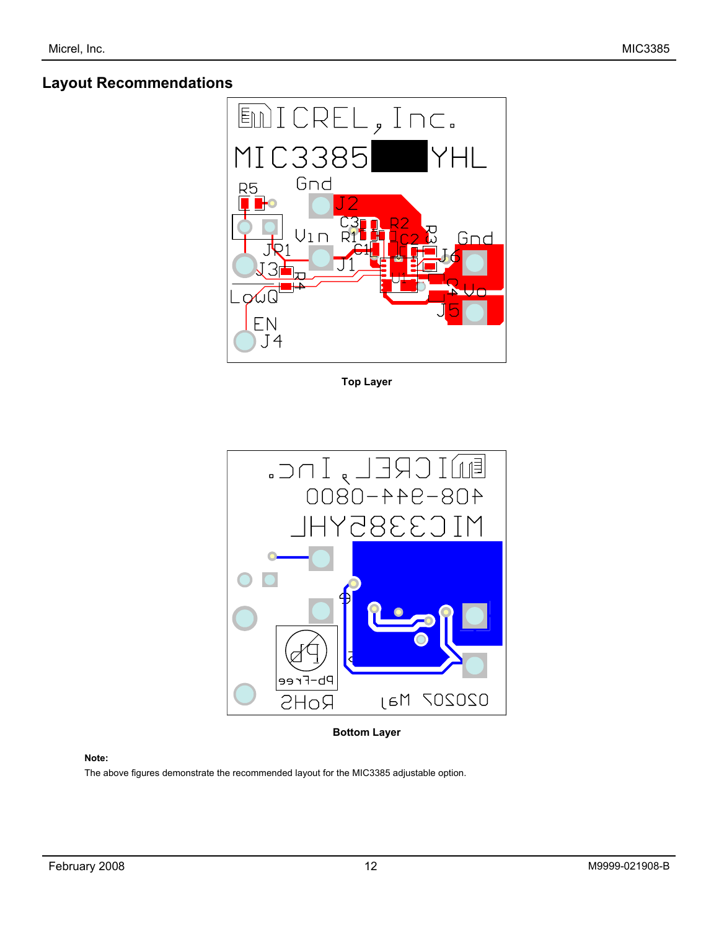## **Layout Recommendations**



**Top Layer** 



**Bottom Layer** 

#### **Note:**

The above figures demonstrate the recommended layout for the MIC3385 adjustable option.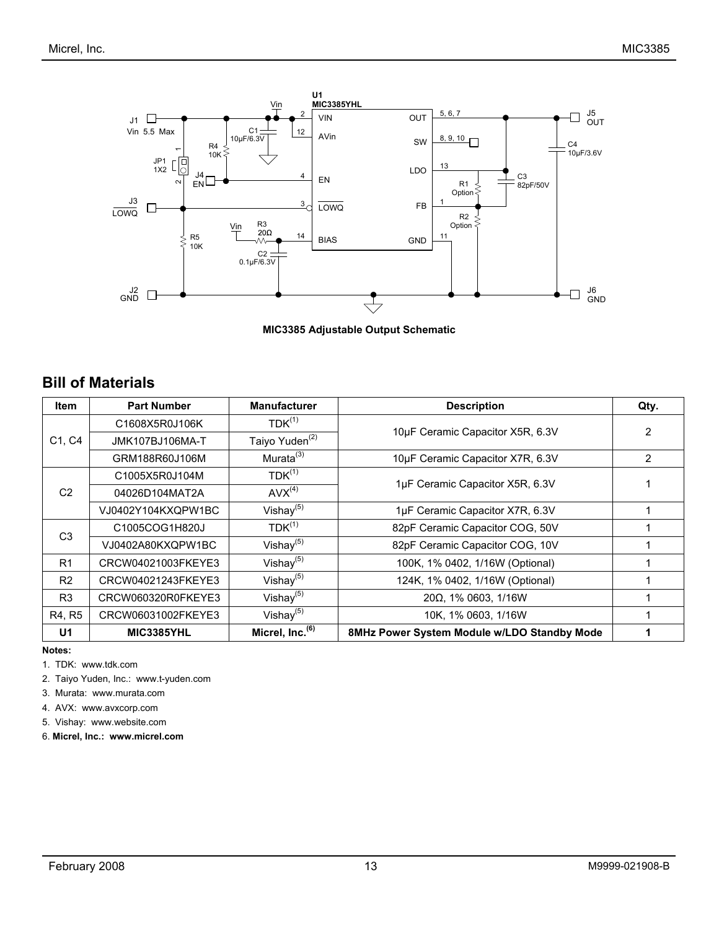

**MIC3385 Adjustable Output Schematic** 

### **Bill of Materials**

| <b>Item</b>    | <b>Part Number</b>            | <b>Manufacturer</b>         | <b>Description</b>                          | Qty.           |
|----------------|-------------------------------|-----------------------------|---------------------------------------------|----------------|
|                | C1608X5R0J106K                | $TDK^{(1)}$                 | 10µF Ceramic Capacitor X5R, 6.3V            | $\overline{2}$ |
| C1, C4         | JMK107BJ106MA-T               | Taiyo Yuden <sup>(2)</sup>  |                                             |                |
|                | GRM188R60J106M                | Murata <sup>(3)</sup>       | 10µF Ceramic Capacitor X7R, 6.3V            | 2              |
|                | $TDK^{(1)}$<br>C1005X5R0J104M |                             | 1µF Ceramic Capacitor X5R, 6.3V             |                |
| C <sub>2</sub> | 04026D104MAT2A                | $AVX^{(4)}$                 |                                             |                |
|                | VJ0402Y104KXQPW1BC            | Vishay $(5)$                | 1µF Ceramic Capacitor X7R, 6.3V             |                |
|                | C1005COG1H820J                | $TDK^{(1)}$                 | 82pF Ceramic Capacitor COG, 50V             |                |
| C <sub>3</sub> | VJ0402A80KXQPW1BC             | Vishay $(5)$                | 82pF Ceramic Capacitor COG, 10V             |                |
| R <sub>1</sub> | CRCW04021003FKEYE3            | Vishay $(5)$                | 100K, 1% 0402, 1/16W (Optional)             |                |
| R2             | CRCW04021243FKEYE3            | Vishay $(5)$                | 124K, 1% 0402, 1/16W (Optional)             |                |
| R <sub>3</sub> | CRCW060320R0FKEYE3            | Vishay $(5)$                | $20\Omega$ , 1% 0603, 1/16W                 |                |
| R4, R5         | CRCW06031002FKEYE3            | Vishay $(5)$                | 10K, 1% 0603, 1/16W                         |                |
| U1             | MIC3385YHL                    | Micrel, Inc. <sup>(6)</sup> | 8MHz Power System Module w/LDO Standby Mode |                |

**Notes:** 

1. TDK: www.tdk.com

2. Taiyo Yuden, Inc.: www.t-yuden.com

3. Murata: www.murata.com

4. AVX: www.avxcorp.com

5. Vishay: www.website.com

6. **Micrel, Inc.: www.micrel.com**